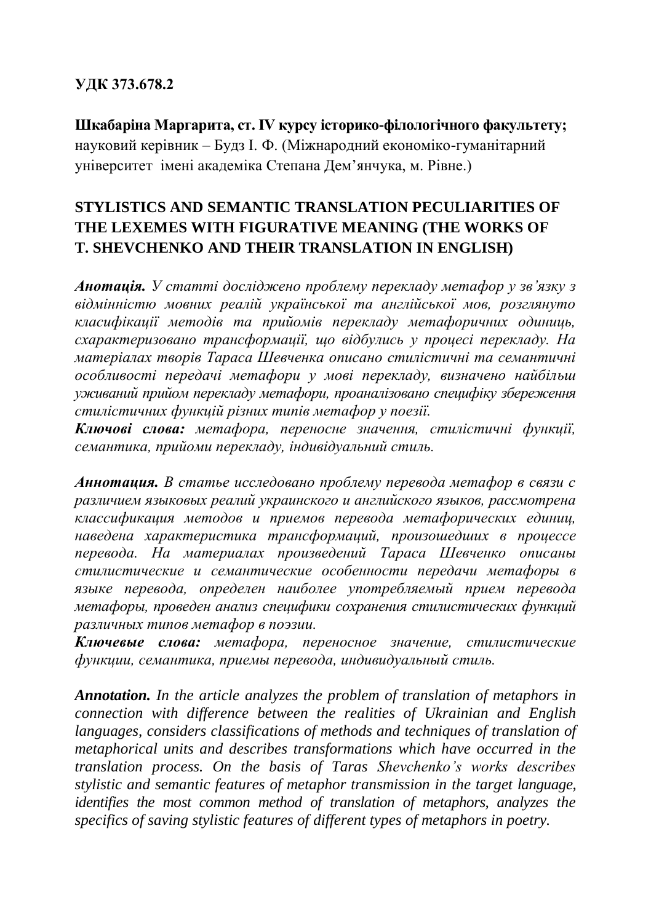#### **УДК 373.678.2**

**Шкабаріна Маргарита, ст. ІV курсу історико-філологічного факультету;** науковий керівник – Будз І. Ф. (Міжнародний економіко-гуманітарний університет імені академіка Степана Дем'янчука, м. Рівне.)

## **STYLISTICS AND SEMANTIC TRANSLATION PECULIARITIES OF THE LEXEMES WITH FIGURATIVE MEANING (THE WORKS OF T. SHEVCHENKO AND THEIR TRANSLATION IN ENGLISH)**

*Анотація. У статті досліджено проблему перекладу метафор у зв'язку з відмінністю мовних реалій української та англійської мов, розглянуто класифікації методів та прийомів перекладу метафоричних одиниць, схарактеризовано трансформації, що відбулись у процесі перекладу. На матеріалах творів Тараса Шевченка описано стилістичні та семантичні особливості передачі метафори у мові перекладу, визначено найбільш уживаний прийом перекладу метафори, проаналізовано специфіку збереження стилістичних функцій різних типів метафор у поезії.*

*Ключові слова: метафора, переносне значення, стилістичні функції, семантика, прийоми перекладу, індивідуальний стиль.*

*Аннотация. В статье исследовано проблему перевода метафор в связи с различием языковых реалий украинского и английского языков, рассмотрена классификация методов и приемов перевода метафорических единиц, наведена характеристика трансформаций, произошедших в процессе перевода. На материалах произведений Тараса Шевченко описаны стилистические и семантические особенности передачи метафоры в языке перевода, определен наиболее употребляемый прием перевода метафоры, проведен анализ специфики сохранения стилистических функций различных типов метафор в поэзии.*

*Ключевые слова: метафора, переносное значение, стилистические функции, семантика, приемы перевода, индивидуальный стиль.*

*Annotation. In the article analyzes the problem of translation of metaphors in connection with difference between the realities of Ukrainian and English languages, considers classifications of methods and techniques of translation of metaphorical units and describes transformations which have occurred in the translation process. On the basis of Taras Shevchenko's works describes stylistic and semantic features of metaphor transmission in the target language, identifies the most common method of translation of metaphors, analyzes the specifics of saving stylistic features of different types of metaphors in poetry.*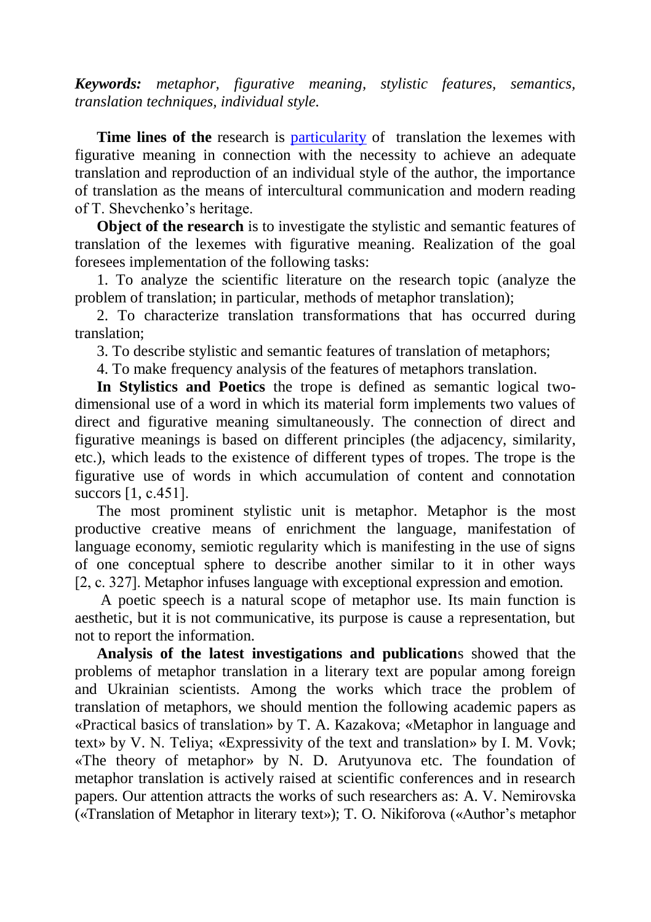*Keywords: metaphor, figurative meaning, stylistic features, semantics, translation techniques, individual style.*

**Time lines of the** research is [particularity](http://www.multitran.ru/c/m.exe?t=74656_1_2&s1=%EE%F1%EE%E1%E5%ED%ED%EE%F1%F2%FC) of translation the lexemes with figurative meaning in connection with the necessity to achieve an adequate translation and reproduction of an individual style of the author, the importance of translation as the means of intercultural communication and modern reading of T. Shevchenko's heritage.

**[Object of the](http://www.multitran.ru/c/m.exe?t=3689270_1_2&s1=%F6%E5%EB%FC%20%F1%F2%E0%F2%FC%E8) research** is to investigate the stylistic and semantic features of translation of the lexemes with figurative meaning. Realization of the goal foresees implementation of the following tasks:

1. To analyze the scientific literature on the research topic (analyze the problem of translation; in particular, methods of metaphor translation);

2. To characterize translation transformations that has occurred during translation;

3. To describe stylistic and semantic features of translation of metaphors;

4. To make frequency analysis of the features of metaphors translation.

**In Stylistics and Poetics** the trope is defined as semantic logical twodimensional use of a word in which its material form implements two values of direct and figurative meaning simultaneously. The connection of direct and figurative meanings is based on different principles (the adjacency, similarity, etc.), which leads to the existence of different types of tropes. The trope is the figurative use of words in which accumulation of content and connotation succors [1, с.451].

The most prominent stylistic unit is metaphor. Metaphor is the most productive creative means of enrichment the language, manifestation of language economy, semiotic regularity which is manifesting in the use of signs of one conceptual sphere to describe another similar to it in other ways [2, c. 327]. Metaphor infuses language with exceptional expression and emotion.

A poetic speech is a natural scope of metaphor use. Its main function is aesthetic, but it is not communicative, its purpose is cause a representation, but not to report the information.

**Analysis of the latest investigations and publication**s showed that the problems of metaphor translation in a literary text are popular among foreign and Ukrainian scientists. Among the works which trace the problem of translation of metaphors, we should mention the following academic papers as «Practical basics of translation» by T. A. Kazakova; «Metaphor in language and text» by V. N. Telіya; «Expressivity of the text and translation» by І. M. Vovk; «The theory of metaphor» by N. D. Arutyunova etc. The foundation of metaphor translation is actively raised at scientific conferences and in research papers. Our attention attracts the works of such researchers as: A. V. Nemіrovska («Translation of Metaphor in literary text»); T. O. Nіkіforova («Author's metaphor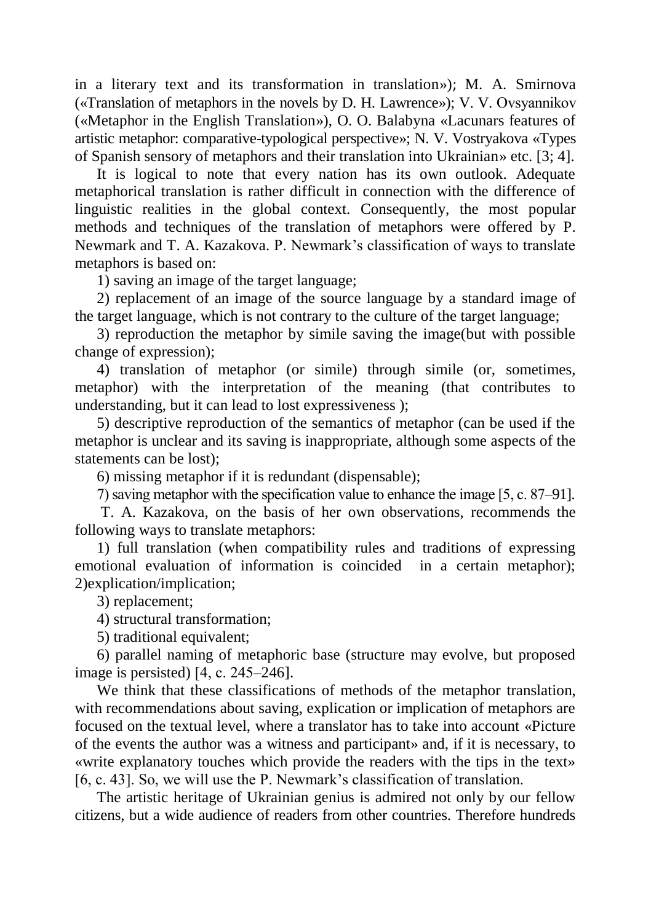in a literary text and its transformation in translation»); M. A. Smirnova («Translation of metaphors in the novels by D. H. Lawrence»); V. V. Ovsyannіkov («Metaphor in the English Translation»), O. O. Balabyna «Lacunars features of artistic metaphor: comparative-typological perspective»; N. V. Vostryakova «Types of Spanish sensory of metaphors and their translation into Ukrainian» etc. [3; 4].

It is logical to note that every nation has its own outlook. Adequate metaphorical translation is rather difficult in connection with the difference of linguistic realities in the global context. Consequently, the most popular methods and techniques of the translation of metaphors were offered by P. Newmark and T. A. Kazakova. P. Newmark's classification of ways to translate metaphors is based on:

1) saving an image of the target language;

2) replacement of an image of the source language by a standard image of the target language, which is not contrary to the culture of the target language;

3) reproduction the metaphor by simile saving the image(but with possible change of expression);

4) translation of metaphor (or simile) through simile (or, sometimes, metaphor) with the interpretation of the meaning (that contributes to understanding, but it can lead to lost expressiveness );

5) descriptive reproduction of the semantics of metaphor (can be used if the metaphor is unclear and its saving is inappropriate, although some aspects of the statements can be lost);

6) missing metaphor if it is redundant (dispensable);

7) saving metaphor with the specification value to enhance the image [5, с. 87–91].

T. A. Kazakova, on the basis of her own observations, recommends the following ways to translate metaphors:

1) full translation (when compatibility rules and traditions of expressing emotional evaluation of information is coincided in a certain metaphor); 2)explication/implication;

3) replacement;

4) structural transformation;

5) traditional equivalent;

6) parallel naming of metaphoric base (structure may evolve, but proposed image is persisted) [4, с. 245–246].

We think that these classifications of methods of the metaphor translation, with recommendations about saving, explication or implication of metaphors are focused on the textual level, where a translator has to take into account «Picture of the events the author was a witness and participant» and, if it is necessary, to «write explanatory touches which provide the readers with the tips in the text» [6, c. 43]. So, we will use the P. Newmark's classification of translation.

The artistic heritage of Ukrainian genius is admired not only by our fellow citizens, but a wide audience of readers from other countries. Therefore hundreds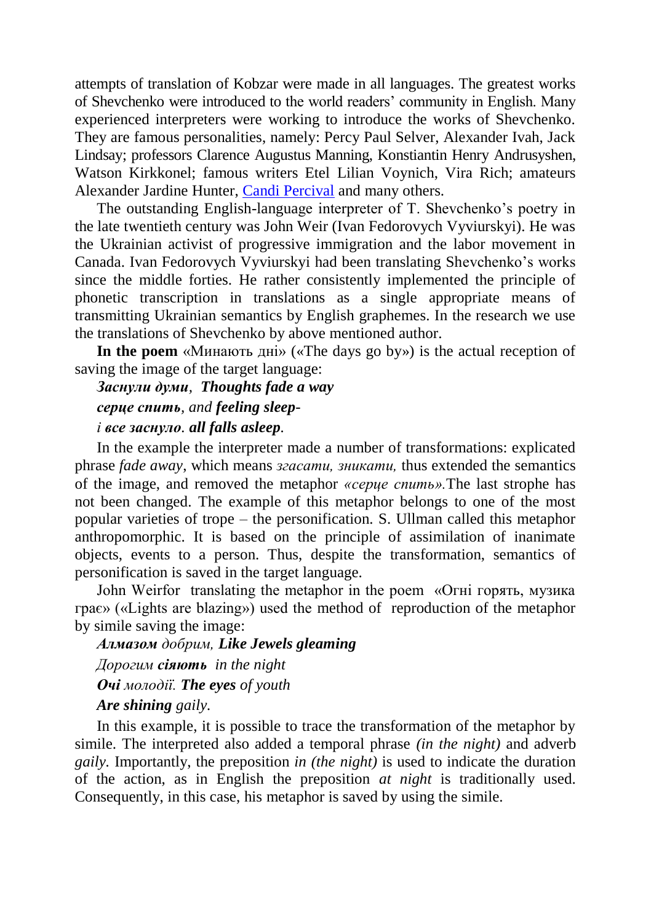attempts of translation of Kobzar were made in all languages. The greatest works of Shevchenko were introduced to the world readers' community in English. Many experienced interpreters were working to introduce the works of Shevchenko. They are famous personalities, namely: Percy Paul Selver, Alexander Ivah, Jack Lindsay; professors Clarence Augustus Manning, Konstiantin Henry Andrusyshen, Watson Kirkkonel; famous writers Etel Lilian Voynich, Vira Rich; amateurs Alexander Jardine Hunter, [Candi Percival](http://www.google.com.ua/url?sa=t&rct=j&q=%D0%9F%D0%B5%D1%80%D1%81%D1%96%D0%B2%D0%B0%D0%BB%20%D0%9A%D0%B0%D0%BD%D0%B4%D1%96%20&source=web&cd=1&ved=0CCwQFjAA&url=http%3A%2F%2Fwww.essexcourt.net%2Fclerks%2F113%2Fcandi-percival&ei=x9GKU9n3Gerg4QTQ2IHYAw&usg=AFQjCNFYMTgKXhUXhi9EvlzFdlWJCdLD9Q&bvm=bv.67720277,d.bGE) and many others.

The outstanding English-language interpreter of T. Shevchenko's poetry in the late twentieth century was John Weir (Ivan Fedorovych Vyviurskyi). He was the Ukrainian activist of progressive immigration and the labor movement in Canada. Ivan Fedorovych Vyviurskyi had been translating Shevchenko's works since the middle forties. He rather consistently implemented the principle of phonetic transcription in translations as a single appropriate means of transmitting Ukrainian semantics by English graphemes. In the research we use the translations of Shevchenko by above mentioned author.

**In the poem** «Минають дні» («The days go by») is the actual reception of saving the image of the target language:

## *Заснули думи, Thoughts fade a way серце спить, and feeling sleepі все заснуло. all falls asleep.*

In the example the interpreter made a number of transformations: explicated phrase *fade away*, which means *згасати, зникати,* thus extended the semantics of the image, and removed the metaphor *«серце спить».*The last strophe has not been changed. The example of this metaphor belongs to one of the most popular varieties of trope – the personification. S. Ullman called this metaphor anthropomorphic. It is based on the principle of assimilation of inanimate objects, events to a person. Thus, despite the transformation, semantics of personification is saved in the target language.

John Weirfor translating the metaphor in the poem «Огні горять, музика грає» («Lights are blazing») used the method of reproduction of the metaphor by simile saving the image:

*Алмазом добрим, Like Jewels gleaming Дорогим сіяють in the night Очі молодії. The eyes of youth Are shining gaily.*

### In this example, it is possible to trace the transformation of the metaphor by simile. The interpreted also added a temporal phrase *(in the night)* and adverb *gaily.* Importantly, the preposition *in (the night)* is used to indicate the duration of the action, as in English the preposition *at night* is traditionally used. Consequently, in this case, his metaphor is saved by using the simile.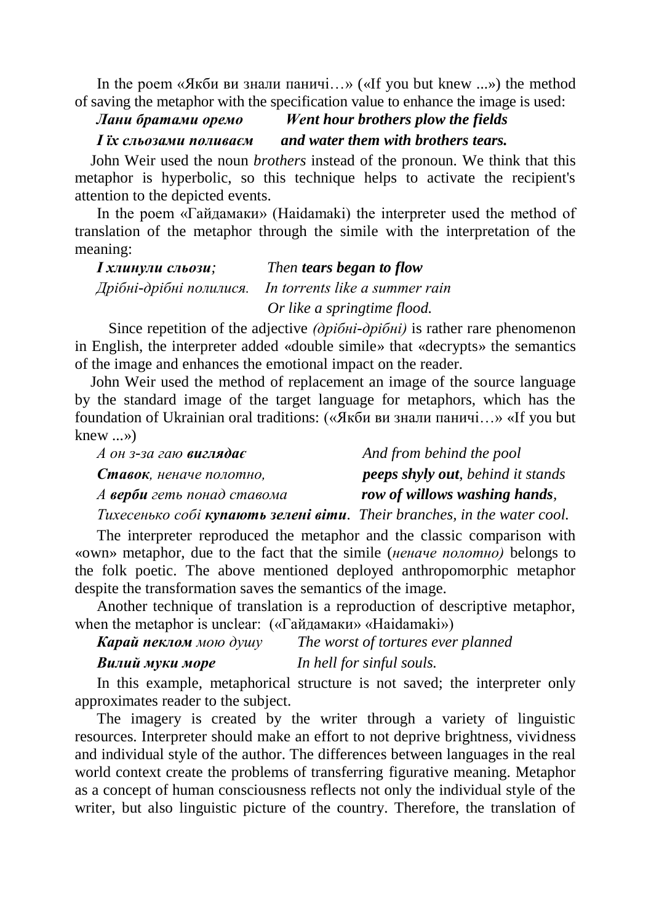In the poem «Якби ви знали паничі…» («If you but knew ...») the method of saving the metaphor with the specification value to enhance the image is used:

# *Лани братами оремо Went hour brothers plow the fields*

*І їх сльозами поливаєм and water them with brothers tears.*

 John Weir used the noun *brothers* instead of the pronoun. We think that this metaphor is hyperbolic, so this technique helps to activate the recipient's attention to the depicted events.

In the poem «Гайдамаки» (Haidamaki) the interpreter used the method of translation of the metaphor through the simile with the interpretation of the meaning:

| <i>I хлинули сльози;</i> | Then tears began to flow       |
|--------------------------|--------------------------------|
| Дрібні-дрібні полилися.  | In torrents like a summer rain |
|                          | Or like a springtime flood.    |

 Since repetition of the adjective *(дрібні-дрібні)* is rather rare phenomenon in English, the interpreter added «double simile» that «decrypts» the semantics of the image and enhances the emotional impact on the reader.

 John Weir used the method of replacement an image of the source language by the standard image of the target language for metaphors, which has the foundation of Ukrainian oral traditions: («Якби ви знали паничі…» «If you but knew ...»)

| $A$ он з-за гаю виглядає   | And from behind the pool                 |
|----------------------------|------------------------------------------|
| Ставок, неначе полотно,    | <b>peeps shyly out, behind it stands</b> |
| А верби геть понад ставома | row of willows washing hands,            |
|                            |                                          |

*Тихесенько собі купають зелені віти. Their branches, in the water cool.*

The interpreter reproduced the metaphor and the classic comparison with «own» metaphor, due to the fact that the simile (*неначе полотно)* belongs to the folk poetic. The above mentioned deployed anthropomorphic metaphor despite the transformation saves the semantics of the image.

Another technique of translation is a reproduction of descriptive metaphor, when the metaphor is unclear: («Гайдамаки» «Haidamaki»)

*Карай пеклом мою душу The worst of tortures ever planned*

*Вилий муки море In hell for sinful souls.*

In this example, metaphorical structure is not saved; the interpreter only approximates reader to the subject.

The imagery is created by the writer through a variety of linguistic resources. Interpreter should make an effort to not deprive brightness, vividness and individual style of the author. The differences between languages in the real world context create the problems of transferring figurative meaning. Metaphor as a concept of human consciousness reflects not only the individual style of the writer, but also linguistic picture of the country. Therefore, the translation of